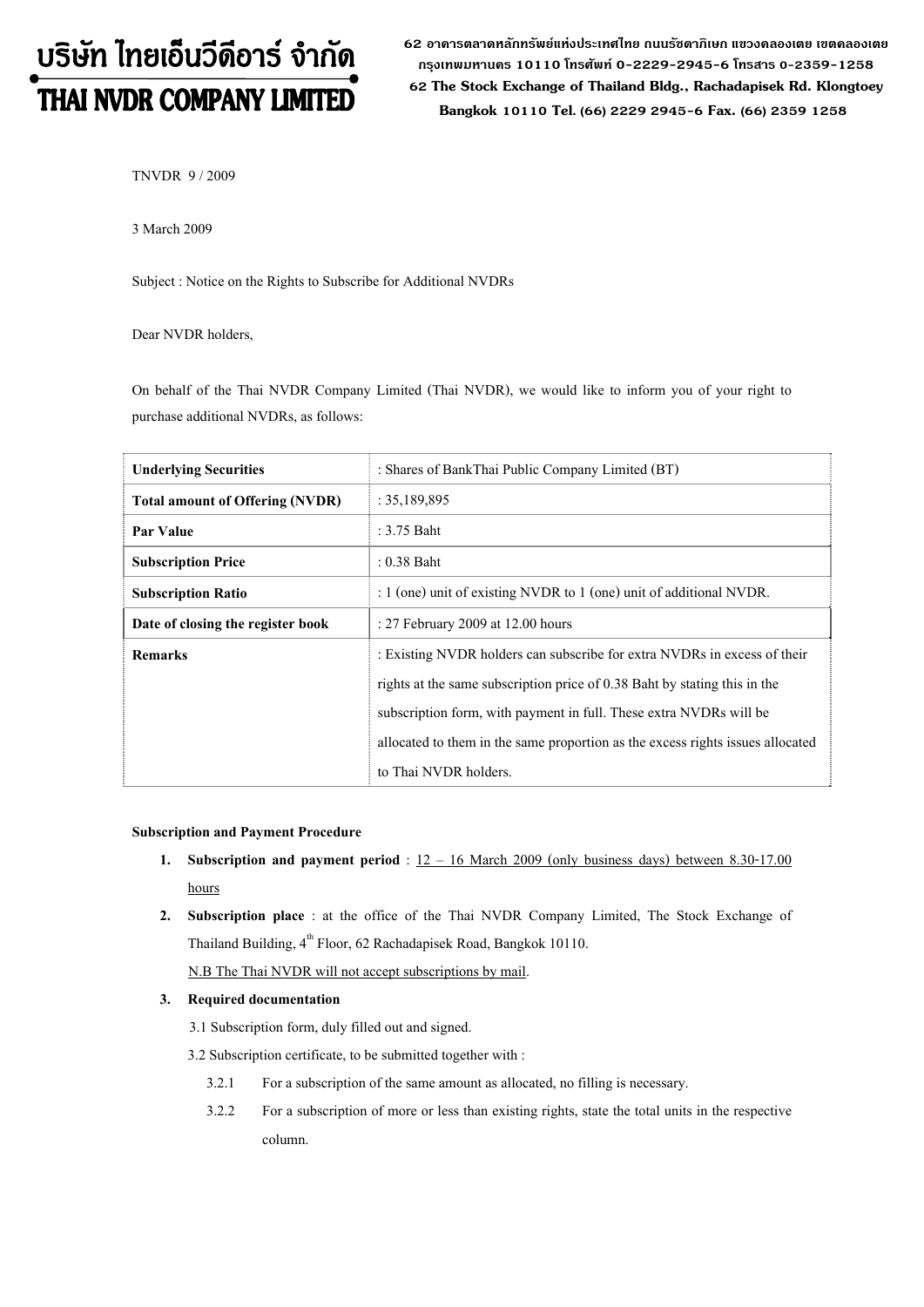# บริษัท ไทยเอ็นวีดีอาร์ จำกัด THAI NVDR COMPANY LIMITED

**62 อาคารตลาดหลักทรัพยแหงประเทศไทย ถนนรัชดาภิเษก แขวงคลองเตย เขตคลองเตย กรุงเทพมหานคร 10110 โทรศัพท 0-2229-2945-6 โทรสาร 0-2359-1258 62 The Stock Exchange of Thailand Bldg., Rachadapisek Rd. Klongtoey Bangkok 10110 Tel. (66) 2229 2945-6 Fax. (66) 2359 1258**

TNVDR 9 / 2009

3 March 2009

Subject : Notice on the Rights to Subscribe for Additional NVDRs

Dear NVDR holders,

On behalf of the Thai NVDR Company Limited (Thai NVDR), we would like to inform you of your right to purchase additional NVDRs, as follows:

| <b>Underlying Securities</b>           | : Shares of BankThai Public Company Limited (BT)                               |
|----------------------------------------|--------------------------------------------------------------------------------|
| <b>Total amount of Offering (NVDR)</b> | : 35,189,895                                                                   |
| Par Value                              | : 3.75 Baht                                                                    |
| <b>Subscription Price</b>              | $: 0.38$ Baht                                                                  |
| <b>Subscription Ratio</b>              | : $1$ (one) unit of existing NVDR to $1$ (one) unit of additional NVDR.        |
| Date of closing the register book      | : 27 February 2009 at 12.00 hours                                              |
| <b>Remarks</b>                         | : Existing NVDR holders can subscribe for extra NVDRs in excess of their       |
|                                        | rights at the same subscription price of 0.38 Baht by stating this in the      |
|                                        | subscription form, with payment in full. These extra NVDRs will be             |
|                                        | allocated to them in the same proportion as the excess rights issues allocated |
|                                        | to Thai NVDR holders.                                                          |

## **Subscription and Payment Procedure**

- **1. Subscription and payment period** : 12 16 March 2009 (only business days) between 8.30-17.00 hours
- **2. Subscription place** : at the office of the Thai NVDR Company Limited, The Stock Exchange of Thailand Building,  $4^{th}$  Floor, 62 Rachadapisek Road, Bangkok 10110.

N.B The Thai NVDR will not accept subscriptions by mail.

#### **3. Required documentation**

3.1 Subscription form, duly filled out and signed.

3.2 Subscription certificate, to be submitted together with :

- 3.2.1 For a subscription of the same amount as allocated, no filling is necessary.
- 3.2.2 For a subscription of more or less than existing rights, state the total units in the respective column.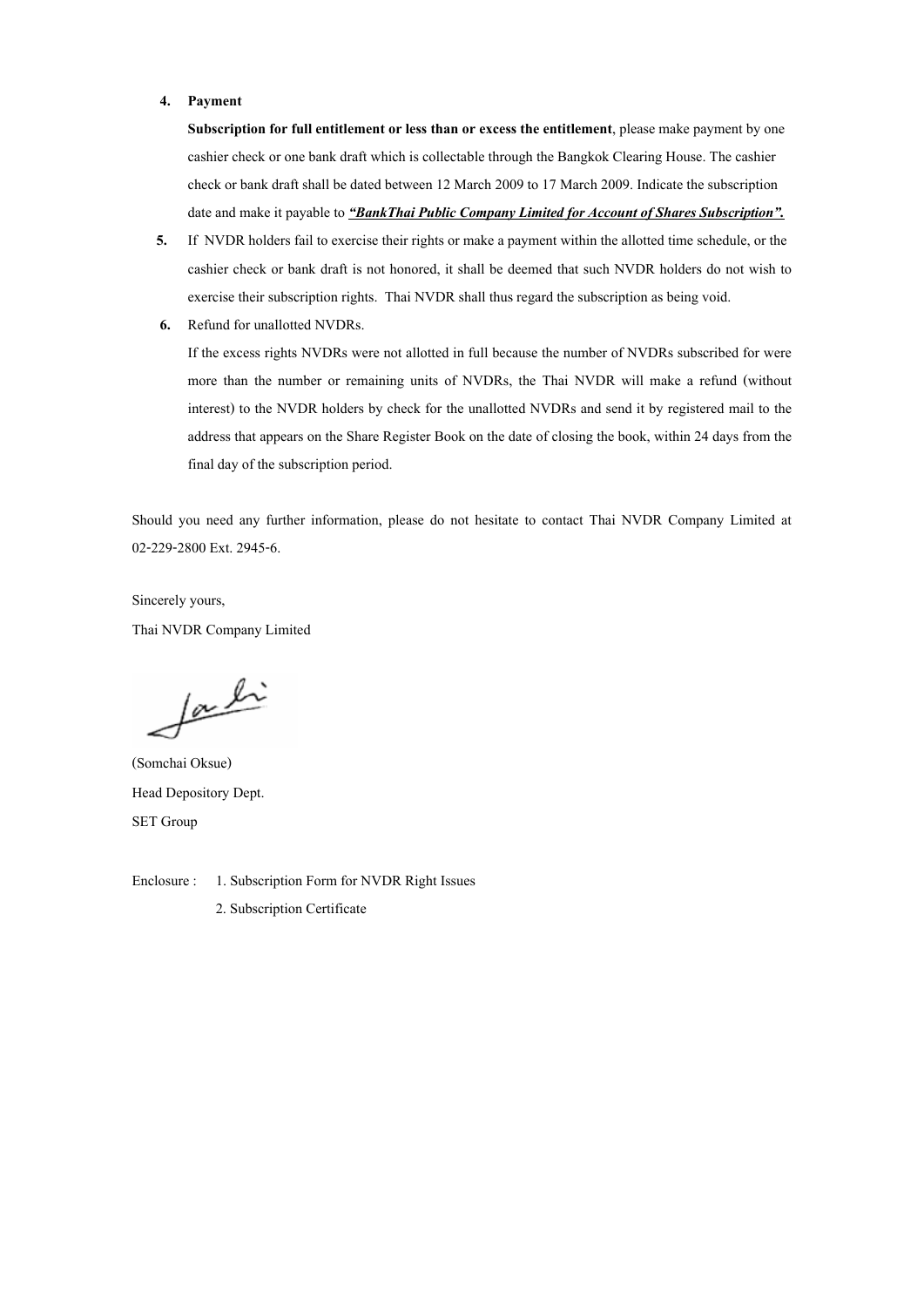#### **4. Payment**

**Subscription for full entitlement or less than or excess the entitlement**, please make payment by one cashier check or one bank draft which is collectable through the Bangkok Clearing House. The cashier check or bank draft shall be dated between 12 March 2009 to 17 March 2009. Indicate the subscription date and make it payable to *"BankThai Public Company Limited for Account of Shares Subscription".*

- **5.** If NVDR holders fail to exercise their rights or make a payment within the allotted time schedule, or the cashier check or bank draft is not honored, it shall be deemed that such NVDR holders do not wish to exercise their subscription rights. Thai NVDR shall thus regard the subscription as being void.
- **6.** Refund for unallotted NVDRs.

If the excess rights NVDRs were not allotted in full because the number of NVDRs subscribed for were more than the number or remaining units of NVDRs, the Thai NVDR will make a refund (without interest) to the NVDR holders by check for the unallotted NVDRs and send it by registered mail to the address that appears on the Share Register Book on the date of closing the book, within 24 days from the final day of the subscription period.

Should you need any further information, please do not hesitate to contact Thai NVDR Company Limited at 02-229-2800 Ext. 2945-6.

Sincerely yours, Thai NVDR Company Limited

fachi

(Somchai Oksue) Head Depository Dept. SET Group

Enclosure : 1. Subscription Form for NVDR Right Issues

2. Subscription Certificate